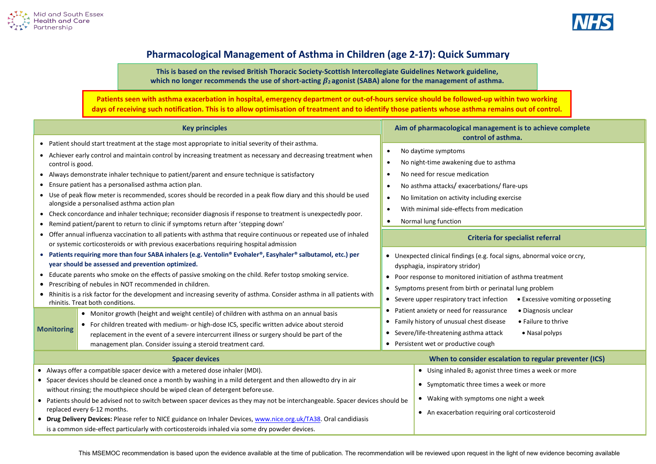



## **Pharmacological Management of Asthma in Children (age 2-17): Quick Summary**

**This is based on the revised British Thoracic Society-Scottish Intercollegiate Guidelines Network guideline, which no longer recommends the use of short-acting 2 agonist (SABA) alone for the management of asthma.**

**Patients seen with asthma exacerbation in hospital, emergency department or out-of-hours service should be followed-up within two working days of receiving such notification. This is to allow optimisation of treatment and to identify those patients whose asthma remains out of control.**

| <b>Key principles</b>                                                                                                                                                                                                                                                                                                                                                                                                                                                                                                                                                                                                                                                                                                                                                                                                                                                                                                                                                                                                                                                                                                                                                                                                                                                                                                                                                                                                                                                                                               | Aim of pharmacological management is to achieve complete<br>control of asthma.                                                                                                                                                                                                                                                                                                                                                                                                                                                                                                                                                                                                                                                                                                                                                                                                                                                                               |  |
|---------------------------------------------------------------------------------------------------------------------------------------------------------------------------------------------------------------------------------------------------------------------------------------------------------------------------------------------------------------------------------------------------------------------------------------------------------------------------------------------------------------------------------------------------------------------------------------------------------------------------------------------------------------------------------------------------------------------------------------------------------------------------------------------------------------------------------------------------------------------------------------------------------------------------------------------------------------------------------------------------------------------------------------------------------------------------------------------------------------------------------------------------------------------------------------------------------------------------------------------------------------------------------------------------------------------------------------------------------------------------------------------------------------------------------------------------------------------------------------------------------------------|--------------------------------------------------------------------------------------------------------------------------------------------------------------------------------------------------------------------------------------------------------------------------------------------------------------------------------------------------------------------------------------------------------------------------------------------------------------------------------------------------------------------------------------------------------------------------------------------------------------------------------------------------------------------------------------------------------------------------------------------------------------------------------------------------------------------------------------------------------------------------------------------------------------------------------------------------------------|--|
| • Patient should start treatment at the stage most appropriate to initial severity of their asthma.<br>• Achiever early control and maintain control by increasing treatment as necessary and decreasing treatment when<br>control is good.<br>• Always demonstrate inhaler technique to patient/parent and ensure technique is satisfactory<br>• Ensure patient has a personalised asthma action plan.<br>• Use of peak flow meter is recommended, scores should be recorded in a peak flow diary and this should be used<br>alongside a personalised asthma action plan<br>• Check concordance and inhaler technique; reconsider diagnosis if response to treatment is unexpectedly poor.<br>• Remind patient/parent to return to clinic if symptoms return after 'stepping down'<br>• Offer annual influenza vaccination to all patients with asthma that require continuous or repeated use of inhaled<br>or systemic corticosteroids or with previous exacerbations requiring hospital admission<br>• Patients requiring more than four SABA inhalers (e.g. Ventolin® Evohaler®, Easyhaler® salbutamol, etc.) per<br>year should be assessed and prevention optimized.<br>• Educate parents who smoke on the effects of passive smoking on the child. Refer tostop smoking service.<br>• Prescribing of nebules in NOT recommended in children.<br>• Rhinitis is a risk factor for the development and increasing severity of asthma. Consider asthma in all patients with<br>rhinitis. Treat both conditions. | No daytime symptoms<br>$\bullet$<br>No night-time awakening due to asthma<br>$\bullet$<br>No need for rescue medication<br>$\bullet$<br>No asthma attacks/exacerbations/flare-ups<br>No limitation on activity including exercise<br>$\bullet$<br>With minimal side-effects from medication<br>$\bullet$<br>Normal lung function<br>$\bullet$<br><b>Criteria for specialist referral</b><br>• Unexpected clinical findings (e.g. focal signs, abnormal voice or cry,<br>dysphagia, inspiratory stridor)<br>• Poor response to monitored initiation of asthma treatment<br>• Symptoms present from birth or perinatal lung problem<br>• Severe upper respiratory tract infection • Excessive vomiting or posseting<br>• Patient anxiety or need for reassurance<br>· Diagnosis unclear<br>Family history of unusual chest disease<br>• Failure to thrive<br>• Severe/life-threatening asthma attack<br>• Nasal polyps<br>• Persistent wet or productive cough |  |
| • Monitor growth (height and weight centile) of children with asthma on an annual basis<br>• For children treated with medium- or high-dose ICS, specific written advice about steroid<br><b>Monitoring</b><br>replacement in the event of a severe intercurrent illness or surgery should be part of the<br>management plan. Consider issuing a steroid treatment card.                                                                                                                                                                                                                                                                                                                                                                                                                                                                                                                                                                                                                                                                                                                                                                                                                                                                                                                                                                                                                                                                                                                                            |                                                                                                                                                                                                                                                                                                                                                                                                                                                                                                                                                                                                                                                                                                                                                                                                                                                                                                                                                              |  |
| <b>Spacer devices</b>                                                                                                                                                                                                                                                                                                                                                                                                                                                                                                                                                                                                                                                                                                                                                                                                                                                                                                                                                                                                                                                                                                                                                                                                                                                                                                                                                                                                                                                                                               | When to consider escalation to regular preventer (ICS)                                                                                                                                                                                                                                                                                                                                                                                                                                                                                                                                                                                                                                                                                                                                                                                                                                                                                                       |  |
| • Always offer a compatible spacer device with a metered dose inhaler (MDI).<br>• Spacer devices should be cleaned once a month by washing in a mild detergent and then allowedto dry in air<br>without rinsing; the mouthpiece should be wiped clean of detergent before use.<br>• Patients should be advised not to switch between spacer devices as they may not be interchangeable. Spacer devices should be<br>replaced every 6-12 months.<br>• Drug Delivery Devices: Please refer to NICE guidance on Inhaler Devices, www.nice.org.uk/TA38. Oral candidiasis<br>is a common side-effect particularly with corticosteroids inhaled via some dry powder devices.                                                                                                                                                                                                                                                                                                                                                                                                                                                                                                                                                                                                                                                                                                                                                                                                                                              | • Using inhaled B <sub>2</sub> agonist three times a week or more<br>• Symptomatic three times a week or more<br>• Waking with symptoms one night a week<br>• An exacerbation requiring oral corticosteroid                                                                                                                                                                                                                                                                                                                                                                                                                                                                                                                                                                                                                                                                                                                                                  |  |

This MSEMOC recommendation is based upon the evidence available at the time of publication. The recommendation will be reviewed upon request in the light of new evidence becoming available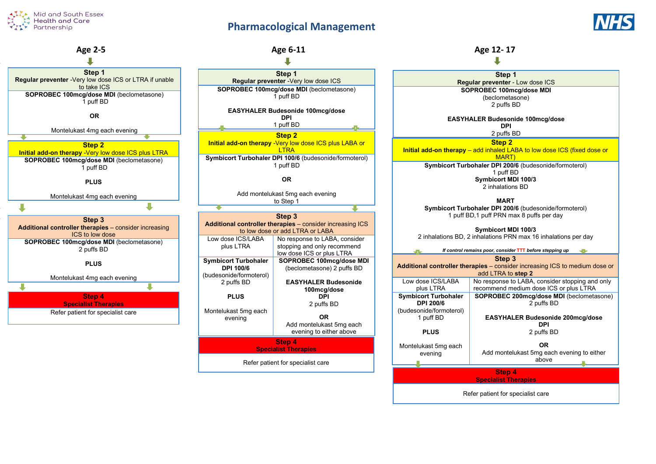## **Pharmacological Management**





**Specialist Therapies**

Refer patient for specialist care

**Step 1 Regular preventer** - Low dose ICS **SOPROBEC 100mcg/dose MDI** (beclometasone) 2 puffs BD **EASYHALER Budesonide 100mcg/dose DPI** 2 puffs BD **Step 2 Initial add-on therapy** – add inhaled LABA to low dose ICS (fixed dose or MART) **Symbicort Turbohaler DPI 200/6** (budesonide/formoterol) 1 puff BD **Symbicort MDI 100/3** 2 inhalations BD **MART Symbicort Turbohaler DPI 200/6** (budesonide/formoterol) 1 puff BD,1 puff PRN max 8 puffs per day **Symbicort MDI 100/3** 2 inhalations BD, 2 inhalations PRN max 16 inhalations per day *If control remains poor, consider* **TTT** *before stepping up* **Step 3 Additional controller therapies** – consider increasing ICS to medium dose or add LTRA to **step 2** No response to LABA, consider stopping and only recommend medium dose ICS or plus LTRA Montelukast 5mg each evening **SOPROBEC 200mcg/dose MDI** (beclometasone) 2 puffs BD **EASYHALER Budesonide 200mcg/dose DPI** 2 puffs BD **OR**  Add montelukast 5mg each evening to either above **Step 4 Specialist Therapies** Refer patient for specialist care